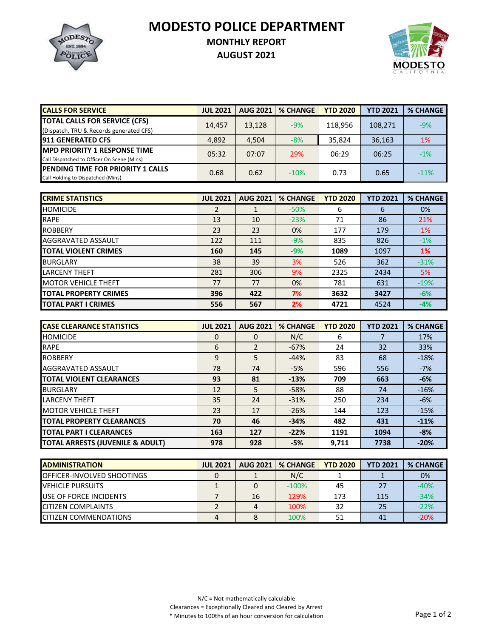**MODESTO POLICE DEPARTMENT**



## **MONTHLY REPORT**

**AUGUST 2021**



| <b>CALLS FOR SERVICE</b>                                                           | <b>JUL 2021</b> | <b>AUG 2021</b> | <b>% CHANGE</b> | <b>YTD 2020</b> | <b>YTD 2021</b> | <b>% CHANGE</b> |
|------------------------------------------------------------------------------------|-----------------|-----------------|-----------------|-----------------|-----------------|-----------------|
| <b>TOTAL CALLS FOR SERVICE (CFS)</b><br>(Dispatch, TRU & Records generated CFS)    | 14.457          | 13,128          | $-9%$           | 118.956         | 108,271         | $-9%$           |
| <b>1911 GENERATED CFS</b>                                                          | 4,892           | 4,504           | $-8%$           | 35,824          | 36,163          | 1%              |
| <b>IMPD PRIORITY 1 RESPONSE TIME</b><br>Call Dispatched to Officer On Scene (Mins) | 05:32           | 07:07           | 29%             | 06:29           | 06:25           | $-1%$           |
| <b>IPENDING TIME FOR PRIORITY 1 CALLS</b><br>Call Holding to Dispatched (Mins)     | 0.68            | 0.62            | $-10%$          | 0.73            | 0.65            | $-11%$          |

| <b>CRIME STATISTICS</b>      | <b>JUL 2021</b> | <b>AUG 2021</b> | <b>% CHANGE</b> | <b>YTD 2020</b> | <b>YTD 2021</b> | <b>% CHANGE</b> |
|------------------------------|-----------------|-----------------|-----------------|-----------------|-----------------|-----------------|
| <b>HOMICIDE</b>              | 2               |                 | $-50%$          | 6               | 6               | 0%              |
| <b>RAPE</b>                  | 13              | 10              | $-23%$          | 71              | 86              | 21%             |
| <b>ROBBERY</b>               | 23              | 23              | 0%              | 177             | 179             | 1%              |
| AGGRAVATED ASSAULT           | 122             | 111             | $-9%$           | 835             | 826             | $-1%$           |
| <b>TOTAL VIOLENT CRIMES</b>  | 160             | 145             | $-9%$           | 1089            | 1097            | 1%              |
| <b>BURGLARY</b>              | 38              | 39              | 3%              | 526             | 362             | $-31%$          |
| <b>LARCENY THEFT</b>         | 281             | 306             | 9%              | 2325            | 2434            | 5%              |
| <b>MOTOR VEHICLE THEFT</b>   | 77              | 77              | 0%              | 781             | 631             | $-19%$          |
| <b>TOTAL PROPERTY CRIMES</b> | 396             | 422             | 7%              | 3632            | 3427            | $-6%$           |
| <b>TOTAL PART I CRIMES</b>   | 556             | 567             | 2%              | 4721            | 4524            | $-4%$           |

| <b>CASE CLEARANCE STATISTICS</b>            | <b>JUL 2021</b> | <b>AUG 2021</b> | <b>% CHANGE</b> | <b>YTD 2020</b> | <b>YTD 2021</b> | <b>% CHANGE</b> |
|---------------------------------------------|-----------------|-----------------|-----------------|-----------------|-----------------|-----------------|
| <b>HOMICIDE</b>                             | 0               | 0               | N/C             | 6               |                 | 17%             |
| <b>RAPE</b>                                 | 6               |                 | $-67%$          | 24              | 32              | 33%             |
| <b>ROBBERY</b>                              | 9               | 5               | $-44%$          | 83              | 68              | $-18%$          |
| AGGRAVATED ASSAULT                          | 78              | 74              | $-5%$           | 596             | 556             | $-7%$           |
| <b>TOTAL VIOLENT CLEARANCES</b>             | 93              | 81              | $-13%$          | 709             | 663             | $-6%$           |
| <b>BURGLARY</b>                             | 12              | 5               | $-58%$          | 88              | 74              | $-16%$          |
| <b>LARCENY THEFT</b>                        | 35              | 24              | $-31%$          | 250             | 234             | $-6%$           |
| MOTOR VEHICLE THEFT                         | 23              | 17              | $-26%$          | 144             | 123             | $-15%$          |
| <b>TOTAL PROPERTY CLEARANCES</b>            | 70              | 46              | $-34%$          | 482             | 431             | $-11%$          |
| <b>TOTAL PART I CLEARANCES</b>              | 163             | 127             | $-22%$          | 1191            | 1094            | $-8%$           |
| <b>TOTAL ARRESTS (JUVENILE &amp; ADULT)</b> | 978             | 928             | $-5%$           | 9.711           | 7738            | $-20%$          |

| <b>IADMINISTRATION</b>         | <b>JUL 2021</b> | <b>AUG 2021</b> | <b>% CHANGE</b> | <b>YTD 2020</b> | <b>YTD 2021</b> | % CHANGE |
|--------------------------------|-----------------|-----------------|-----------------|-----------------|-----------------|----------|
| OFFICER-INVOLVED SHOOTINGS     |                 |                 | N/C             |                 |                 | 0%       |
| <b>IVEHICLE PURSUITS</b>       |                 |                 | $-100%$         | -45             |                 | $-40%$   |
| <b>IUSE OF FORCE INCIDENTS</b> |                 | 16              | 129%            | 173             | 115             | $-34%$   |
| <b>CITIZEN COMPLAINTS</b>      |                 |                 | 100%            | 32              |                 | $-22%$   |
| <b>CITIZEN COMMENDATIONS</b>   |                 |                 | 100%            |                 | 41              | $-20%$   |